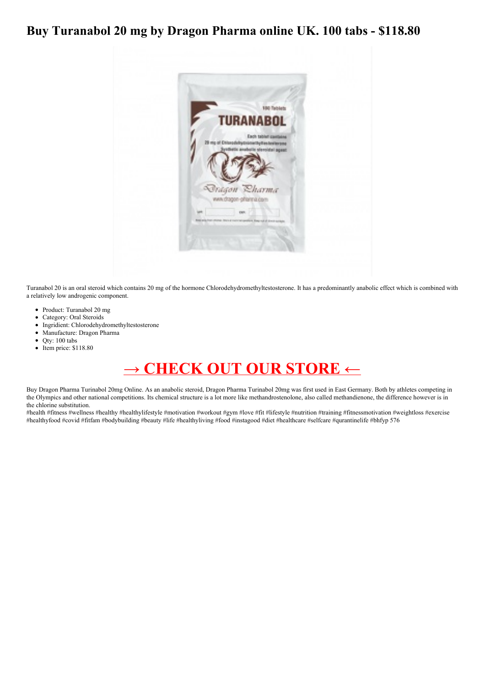## **Buy Turanabol 20 mg by Dragon Pharma online UK. 100 tabs - \$118.80**



Turanabol 20 is an oral steroid which contains 20 mg of the hormone Chlorodehydromethyltestosterone. It has a predominantly anabolic effect which is combined with a relatively low androgenic component.

- Product: Turanabol 20 mg
- Category: Oral Steroids
- Ingridient: Chlorodehydromethyltestosterone
- Manufacture: Dragon Pharma
- Qty: 100 tabs
- Item price: \$118.80

## **→ [CHECK](https://t.co/bvzU3ARjWO) OUT OUR STORE ←**

Buy Dragon Pharma Turinabol 20mg Online. As an anabolic steroid, Dragon Pharma Turinabol 20mg was first used in East Germany. Both by athletes competing in the Olympics and other national competitions. Its chemical structure is a lot more like methandrostenolone, also called methandienone, the difference however is in the chlorine substitution.

#health #fitness #wellness #healthy #healthylifestyle #motivation #workout #gym #love #fit #lifestyle #nutrition #training #fitnessmotivation #weightloss #exercise #healthyfood #covid #fitfam #bodybuilding #beauty #life #healthyliving #food #instagood #diet #healthcare #selfcare #qurantinelife #bhfyp 576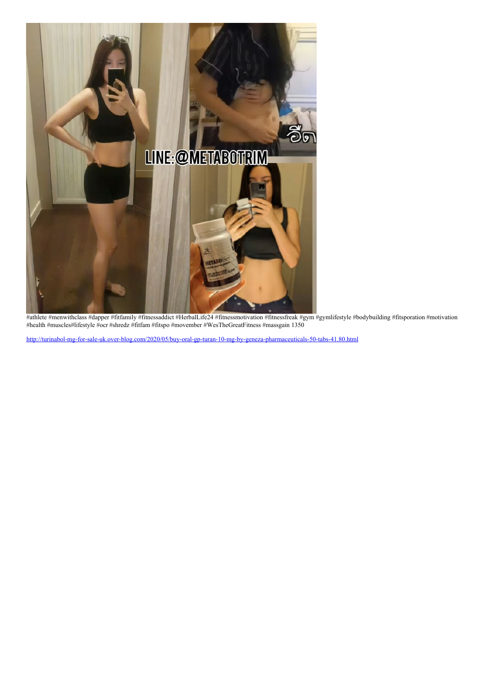

#athlete #menwithclass #dapper #fitfamily #fitnessaddict #HerbalLife24 #fitnessmotivation #fitnessfreak #gym #gymlifestyle #bodybuilding #fitsporation #motivation #health #muscles#lifestyle #ocr #shredz #fitfam #fitspo #movember #WesTheGreatFitness #massgain 1350

<http://turinabol-mg-for-sale-uk.over-blog.com/2020/05/buy-oral-gp-turan-10-mg-by-geneza-pharmaceuticals-50-tabs-41.80.html>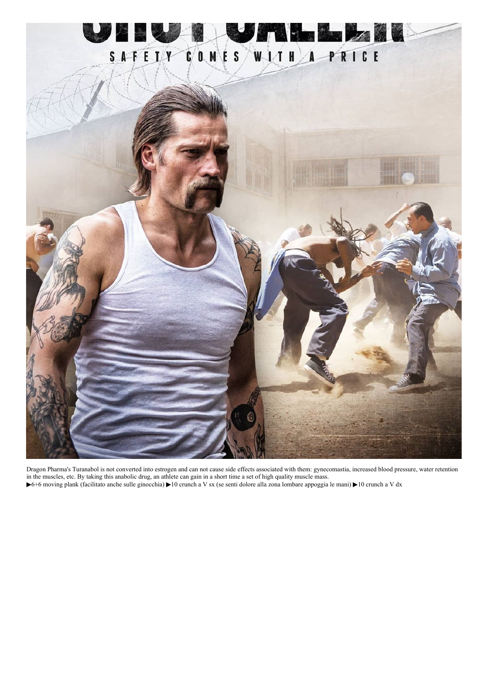

Dragon Pharma's Turanabol is not converted into estrogen and can not cause side effects associated with them: gynecomastia, increased blood pressure, water retention in the muscles, etc. By taking this anabolic drug, an athlete can gain in a short time a set of high quality muscle mass.

▶6+6 moving plank (facilitato anche sulle ginocchia) ▶10 crunch a V sx (se senti dolore alla zona lombare appoggia le mani) ▶10 crunch a V dx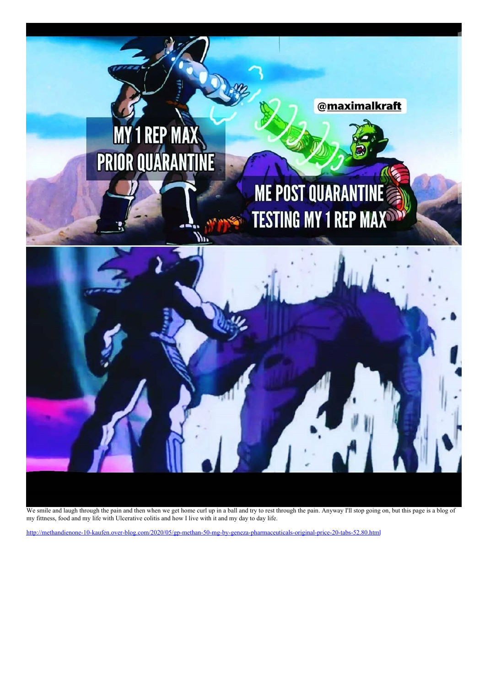

We smile and laugh through the pain and then when we get home curl up in a ball and try to rest through the pain. Anyway I'll stop going on, but this page is a blog of my fittness, food and my life with Ulcerative colitis and how I live with it and my day to day life.

<http://methandienone-10-kaufen.over-blog.com/2020/05/gp-methan-50-mg-by-geneza-pharmaceuticals-original-price-20-tabs-52.80.html>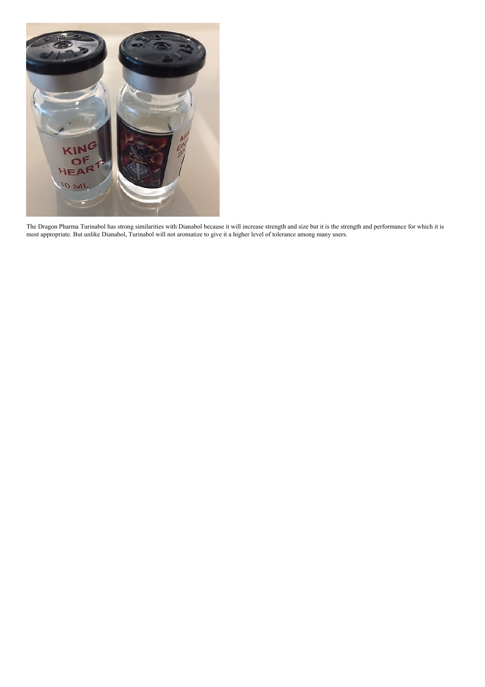

The Dragon Pharma Turinabol has strong similarities with Dianabol because it will increase strength and size but it is the strength and performance for which it is most appropriate. But unlike Dianabol, Turinabol will not aromatize to give it a higher level of tolerance among many users.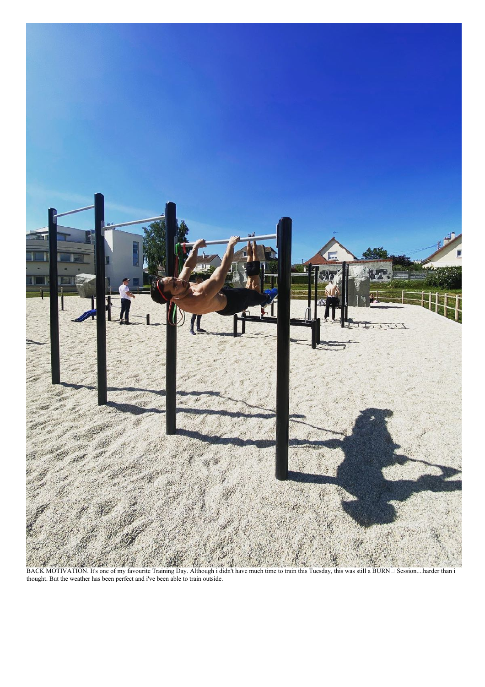

BACK MOTIVATION. It's one of my favourite Training Day. Although i didn't have much time to train this Tuesday, this was still a BURN□ Session....harder than i thought. But the weather has been perfect and i've been able to train outside.